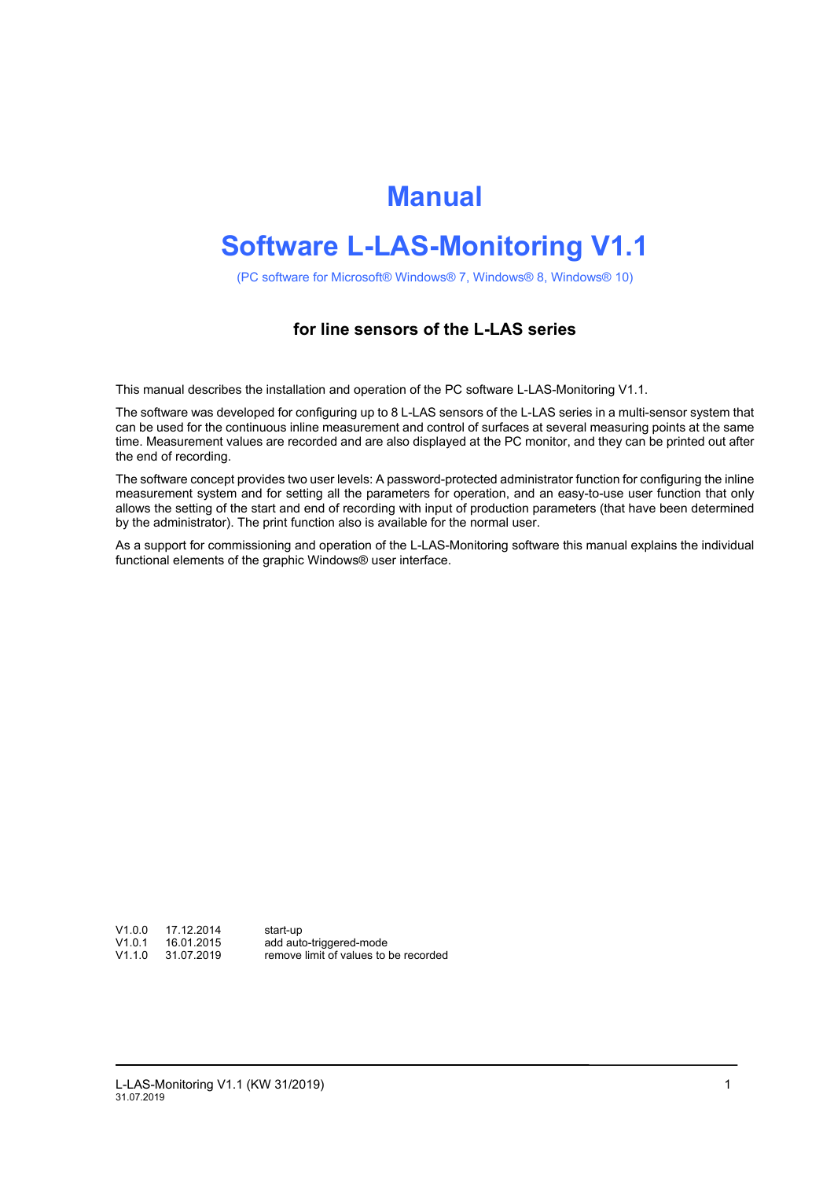# **Manual**

# **Software L-LAS-Monitoring V1.1**

(PC software for Microsoft® Windows® 7, Windows® 8, Windows® 10)

### **for line sensors of the L-LAS series**

This manual describes the installation and operation of the PC software L-LAS-Monitoring V1.1.

The software was developed for configuring up to 8 L-LAS sensors of the L-LAS series in a multi-sensor system that can be used for the continuous inline measurement and control of surfaces at several measuring points at the same time. Measurement values are recorded and are also displayed at the PC monitor, and they can be printed out after the end of recording.

The software concept provides two user levels: A password-protected administrator function for configuring the inline measurement system and for setting all the parameters for operation, and an easy-to-use user function that only allows the setting of the start and end of recording with input of production parameters (that have been determined by the administrator). The print function also is available for the normal user.

As a support for commissioning and operation of the L-LAS-Monitoring software this manual explains the individual functional elements of the graphic Windows® user interface.

V1.0.0 17.12.2014 start-up<br>V1.0.1 16.01.2015 add auto<br>V1.1.0 31.07.2019 remove

add auto-triggered-mode remove limit of values to be recorded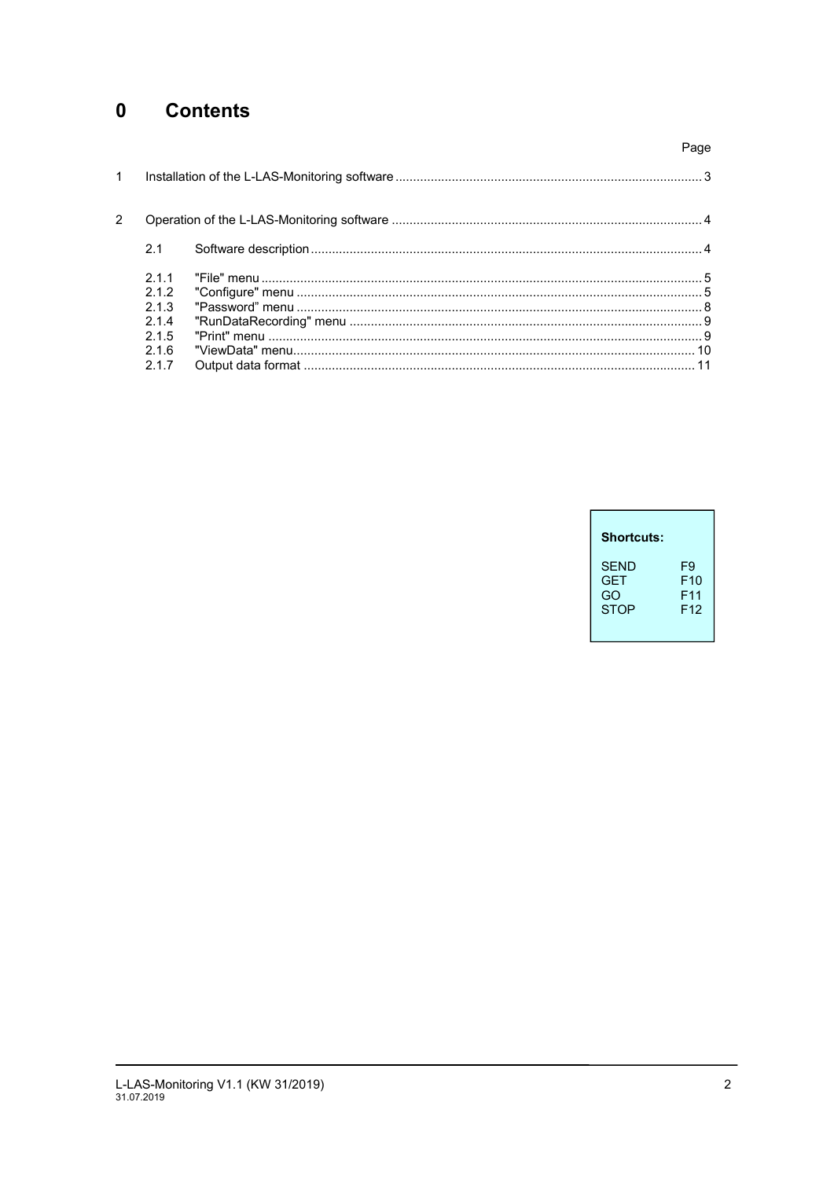## 0 Contents

|       | Page |
|-------|------|
|       |      |
|       |      |
| 2.1   |      |
| 211   |      |
| 212   |      |
| 2.1.3 |      |
| 2.1.4 |      |
| 215   |      |
| 2.1.6 |      |
| 2.1.7 |      |
|       |      |

| <b>Shortcuts:</b> |                 |
|-------------------|-----------------|
| SFND              | F9              |
| <b>GET</b>        | F10             |
| GO                | F <sub>11</sub> |
| <b>STOP</b>       | F <sub>12</sub> |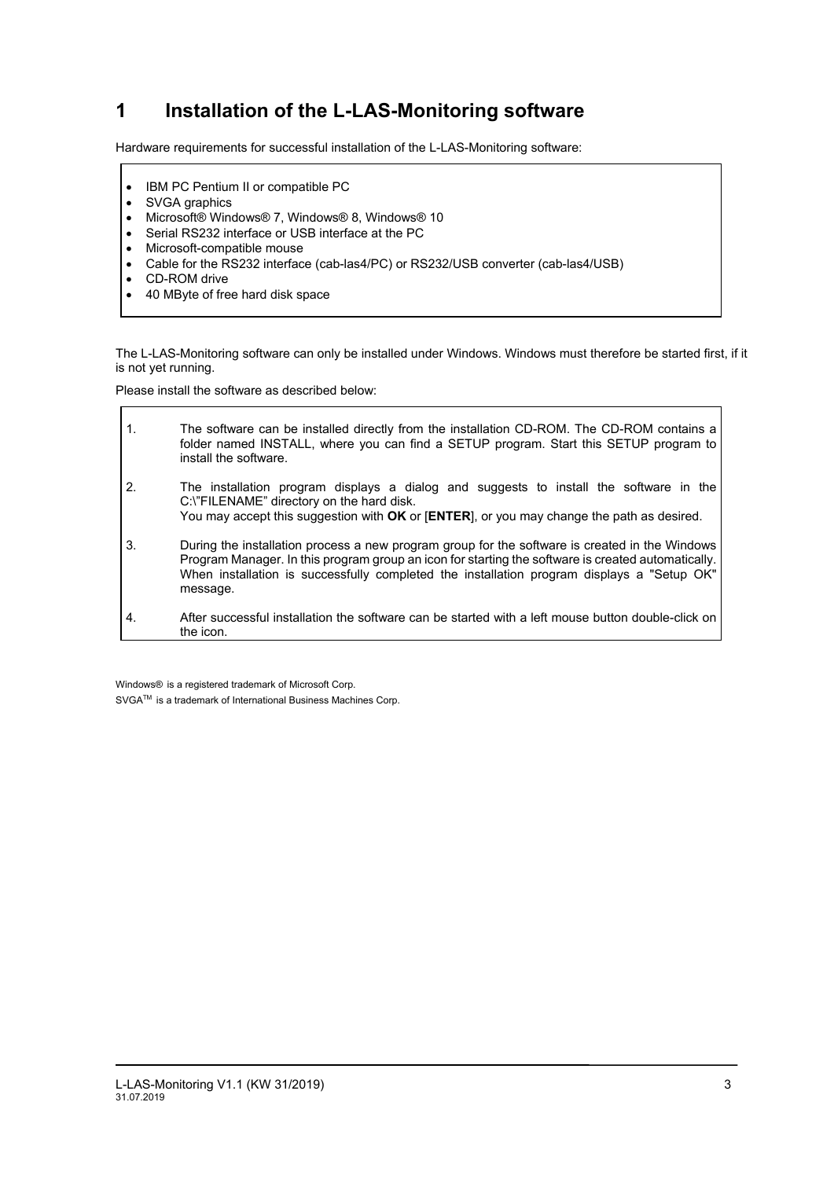## **1 Installation of the L-LAS-Monitoring software**

Hardware requirements for successful installation of the L-LAS-Monitoring software:

- IBM PC Pentium II or compatible PC
- SVGA graphics
- Microsoft® Windows® 7, Windows® 8, Windows® 10
- Serial RS232 interface or USB interface at the PC
- Microsoft-compatible mouse
- Cable for the RS232 interface (cab-las4/PC) or RS232/USB converter (cab-las4/USB)
- CD-ROM drive

 $\Gamma$ 

40 MByte of free hard disk space

The L-LAS-Monitoring software can only be installed under Windows. Windows must therefore be started first, if it is not yet running.

Please install the software as described below:

| $\mathbf{1}$ . | The software can be installed directly from the installation CD-ROM. The CD-ROM contains a<br>folder named INSTALL, where you can find a SETUP program. Start this SETUP program to<br>install the software.                                                                                                   |
|----------------|----------------------------------------------------------------------------------------------------------------------------------------------------------------------------------------------------------------------------------------------------------------------------------------------------------------|
| 2.             | The installation program displays a dialog and suggests to install the software in the<br>C:\"FILENAME" directory on the hard disk.<br>You may accept this suggestion with OK or [ENTER], or you may change the path as desired.                                                                               |
| 3.             | During the installation process a new program group for the software is created in the Windows<br>Program Manager. In this program group an icon for starting the software is created automatically.<br>When installation is successfully completed the installation program displays a "Setup OK"<br>message. |
| 4.             | After successful installation the software can be started with a left mouse button double-click on<br>the icon.                                                                                                                                                                                                |

Windows® is a registered trademark of Microsoft Corp. SVGA™ is a trademark of International Business Machines Corp. ٦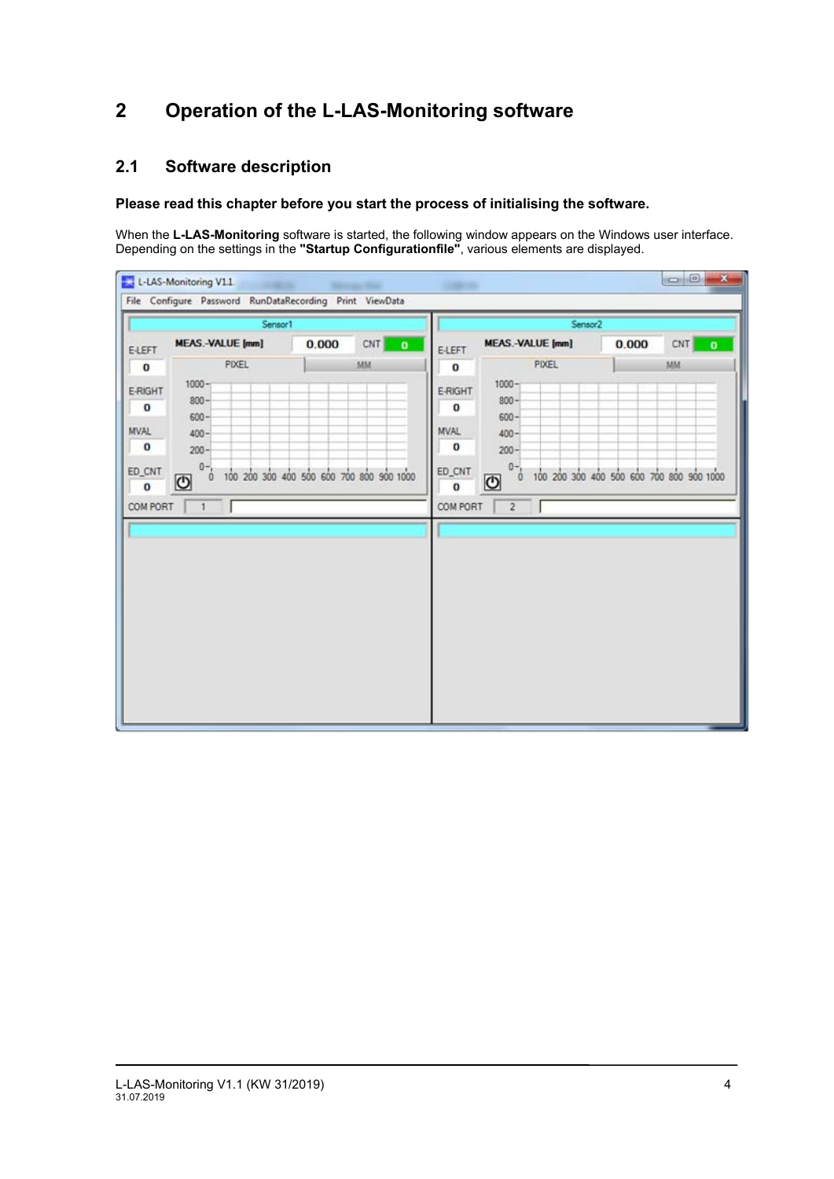## **2 Operation of the L-LAS-Monitoring software**

## **2.1 Software description**

### **Please read this chapter before you start the process of initialising the software.**

When the **L-LAS-Monitoring** software is started, the following window appears on the Windows user interface. Depending on the settings in the **"Startup Configurationfile"**, various elements are displayed.

| Sensor1                                                                                                                                                                                                                             |                                                   |                        |                                                                                                        | Sensor2                                                                                                                              |                                                   |                           |
|-------------------------------------------------------------------------------------------------------------------------------------------------------------------------------------------------------------------------------------|---------------------------------------------------|------------------------|--------------------------------------------------------------------------------------------------------|--------------------------------------------------------------------------------------------------------------------------------------|---------------------------------------------------|---------------------------|
| <b>MEAS.-VALUE [mm]</b><br><b>E-LEFT</b><br>PIXEL<br>$1000 -$<br>E-RIGHT<br>$800 -$<br>$\bf{0}$<br>$600 -$<br><b>MVAL</b><br>$400 -$<br>$\bf{0}$<br>$200 -$<br>$0 - 1$<br>ED_CNT<br>Ó.<br>−<br>$\bf{0}$<br>COM PORT<br>$\mathbf{1}$ | 0.000<br>100 200 300 400 500 600 700 800 900 1000 | CNT<br>$\bullet$<br>MM | <b>E-LEFT</b><br>$\bf{0}$<br>E-RIGHT<br>$\bf{0}$<br>MVAL<br>$\bf{0}$<br>ED_CNT<br>$\bf{O}$<br>COM PORT | <b>MEAS.-VALUE [mm]</b><br>PIXEL<br>$1000 -$<br>$800 -$<br>$600 -$<br>$400 -$<br>$200 -$<br>$0 -$<br>$\theta$<br>७<br>$\overline{2}$ | 0.000<br>100 200 300 400 500 600 700 800 900 1000 | CNT<br>$\mathbf{o}$<br>MM |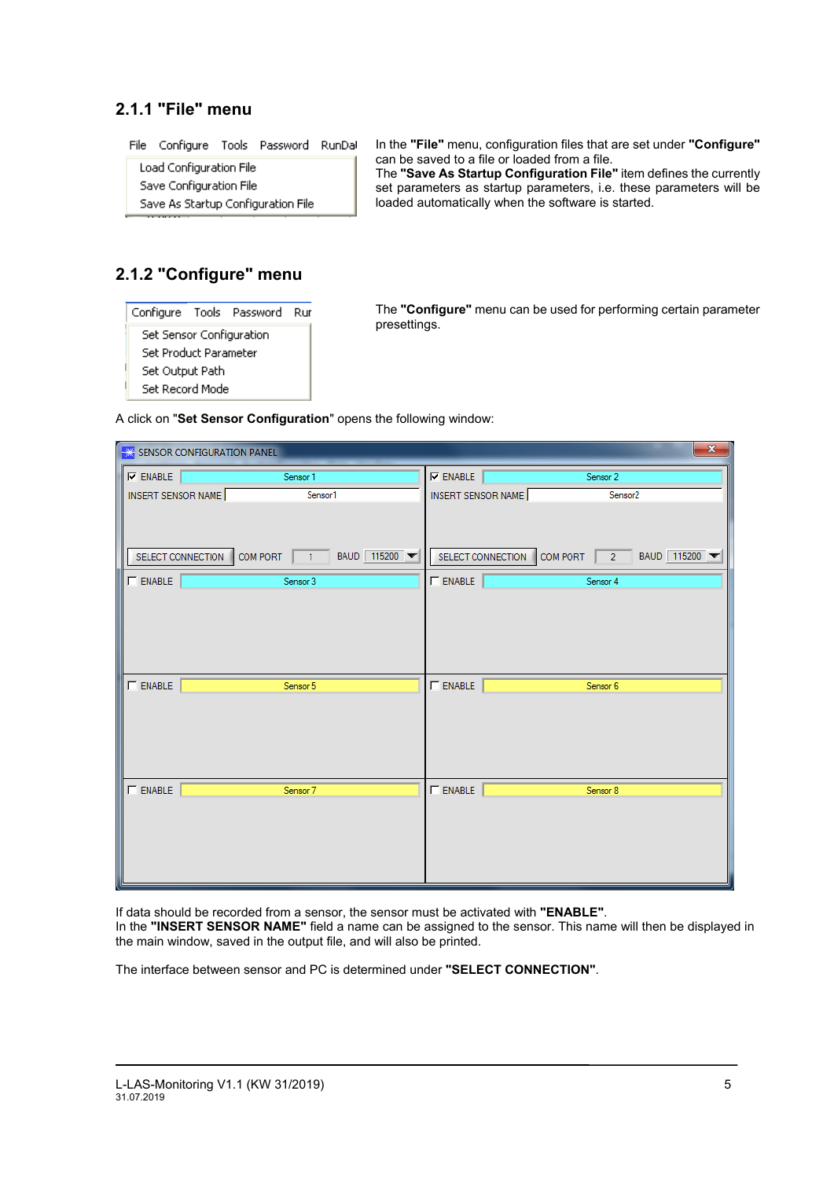## **2.1.1 "File" menu**

File Configure Tools Password RunDal

Load Configuration File Save Configuration File Save As Startup Configuration File In the **"File"** menu, configuration files that are set under **"Configure"** can be saved to a file or loaded from a file. The **"Save As Startup Configuration File"** item defines the currently

set parameters as startup parameters, i.e. these parameters will be loaded automatically when the software is started.

## **2.1.2 "Configure" menu**

|   |                          | Configure Tools Password Rur |  |
|---|--------------------------|------------------------------|--|
|   | Set Sensor Configuration |                              |  |
|   | Set Product Parameter    |                              |  |
| ۱ | Set Output Path          |                              |  |
|   | Set Record Mode          |                              |  |

The **"Configure"** menu can be used for performing certain parameter presettings.

A click on "**Set Sensor Configuration**" opens the following window:

|                    | SENSOR CONFIGURATION PANEL |                                            |                    |                                          | $\mathbf{x}$ |
|--------------------|----------------------------|--------------------------------------------|--------------------|------------------------------------------|--------------|
| $\nabla$ ENABLE    |                            | Sensor 1                                   | $\nabla$ ENABLE    | Sensor 2                                 |              |
| INSERT SENSOR NAME |                            | Sensor1                                    | INSERT SENSOR NAME | Sensor <sub>2</sub>                      |              |
|                    | SELECT CONNECTION          | COM PORT $\boxed{1}$ BAUD $\boxed{115200}$ |                    | SELECT CONNECTION COM PORT 2 BAUD 115200 |              |
| $\Box$ ENABLE      |                            | Sensor 3                                   | $\Gamma$ ENABLE    | Sensor 4                                 |              |
|                    |                            |                                            |                    |                                          |              |
| <b>ENABLE</b>      |                            | Sensor 5                                   | $\Gamma$ ENABLE    | Sensor 6                                 |              |
|                    |                            |                                            |                    |                                          |              |
| $\Box$ ENABLE      |                            | Sensor 7                                   | $\Box$ ENABLE      | Sensor 8                                 |              |
|                    |                            |                                            |                    |                                          |              |

If data should be recorded from a sensor, the sensor must be activated with **"ENABLE"**.

In the **"INSERT SENSOR NAME"** field a name can be assigned to the sensor. This name will then be displayed in the main window, saved in the output file, and will also be printed.

The interface between sensor and PC is determined under **"SELECT CONNECTION"**.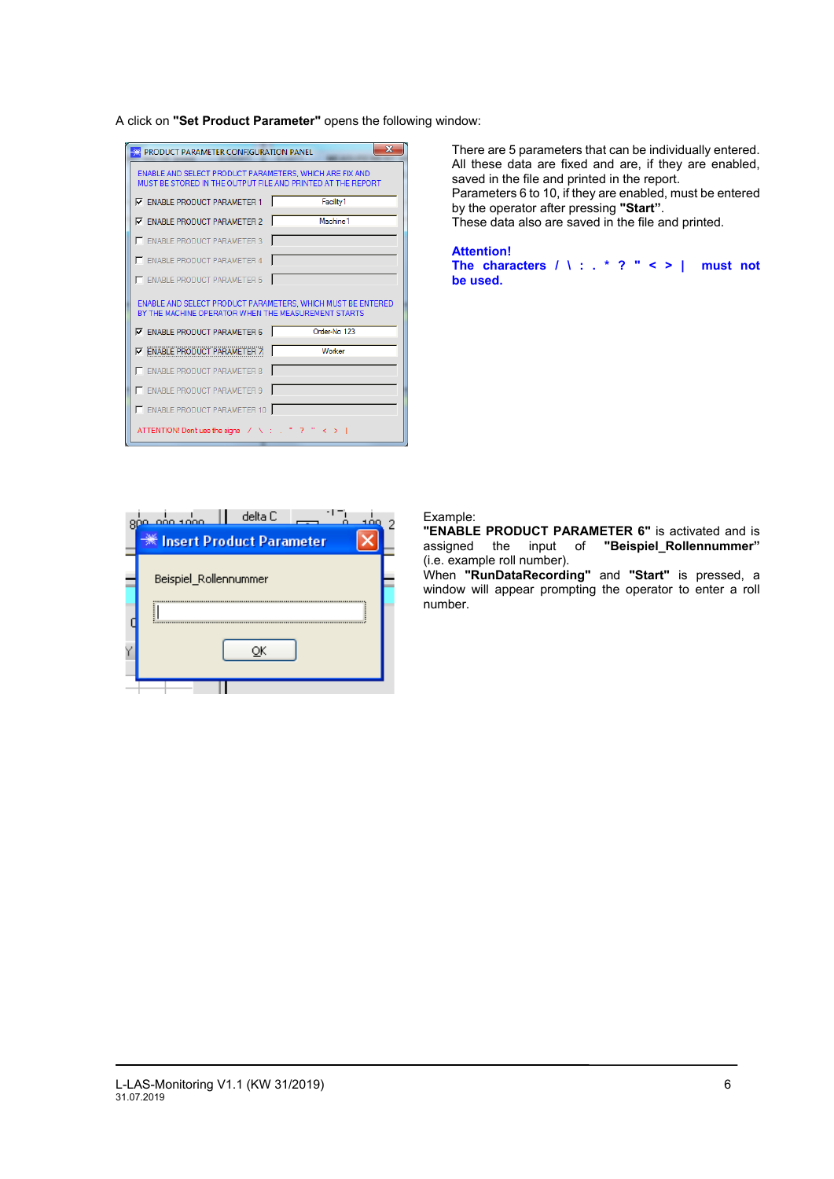A click on **"Set Product Parameter"** opens the following window:

| PRODUCT PARAMETER CONFIGURATION PANEL                                                                                  | ж                                                           |
|------------------------------------------------------------------------------------------------------------------------|-------------------------------------------------------------|
| ENABLE AND SELECT PRODUCT PARAMETERS. WHICH ARE FIX AND<br>MUST BE STORED IN THE OUTPUT FILE AND PRINTED AT THE REPORT |                                                             |
| <b>V</b> ENABLE PRODUCT PARAMETER 1                                                                                    | Facility1                                                   |
| <b>V</b> ENABLE PRODUCT PARAMETER 2                                                                                    | Machine <sub>1</sub>                                        |
| E ENABLE PRODUCT PARAMETER 3                                                                                           |                                                             |
| E ENABLE PRODUCT PARAMETER 4                                                                                           |                                                             |
| E ENABLE PRODUCT PARAMETER 5                                                                                           |                                                             |
|                                                                                                                        |                                                             |
| BY THE MACHINE OPERATOR WHEN THE MEASUREMENT STARTS.                                                                   | ENABLE AND SELECT PRODUCT PARAMETERS. WHICH MUST BE ENTERED |
| <b>V</b> ENABLE PRODUCT PARAMETER 6                                                                                    | Order-No. 123                                               |
| <b>V ENABLE PRODUCT PARAMETER 7</b>                                                                                    | Worker                                                      |
| E ENABLE PRODUCT PARAMETER 8                                                                                           |                                                             |
| <b>ENABLE PRODUCT PARAMETER 9</b>                                                                                      |                                                             |
| ENABLE PRODUCT PARAMETER 10                                                                                            |                                                             |

There are 5 parameters that can be individually entered. All these data are fixed and are, if they are enabled, saved in the file and printed in the report. Parameters 6 to 10, if they are enabled, must be entered by the operator after pressing **"Start"**.

These data also are saved in the file and printed.

**Attention! The characters / \ : . \* ? " < > | must not be used.**

| delta C<br>مممد مفم<br><u>ממוז</u> | 2 |
|------------------------------------|---|
| <b>We Insert Product Parameter</b> |   |
| Beispiel_Rollennummer              |   |
|                                    |   |
|                                    |   |
|                                    |   |

#### Example:

**"ENABLE PRODUCT PARAMETER 6"** is activated and is assigned the input of **"Beispiel\_Rollennummer"** (i.e. example roll number).

When **"RunDataRecording"** and **"Start"** is pressed, a window will appear prompting the operator to enter a roll number.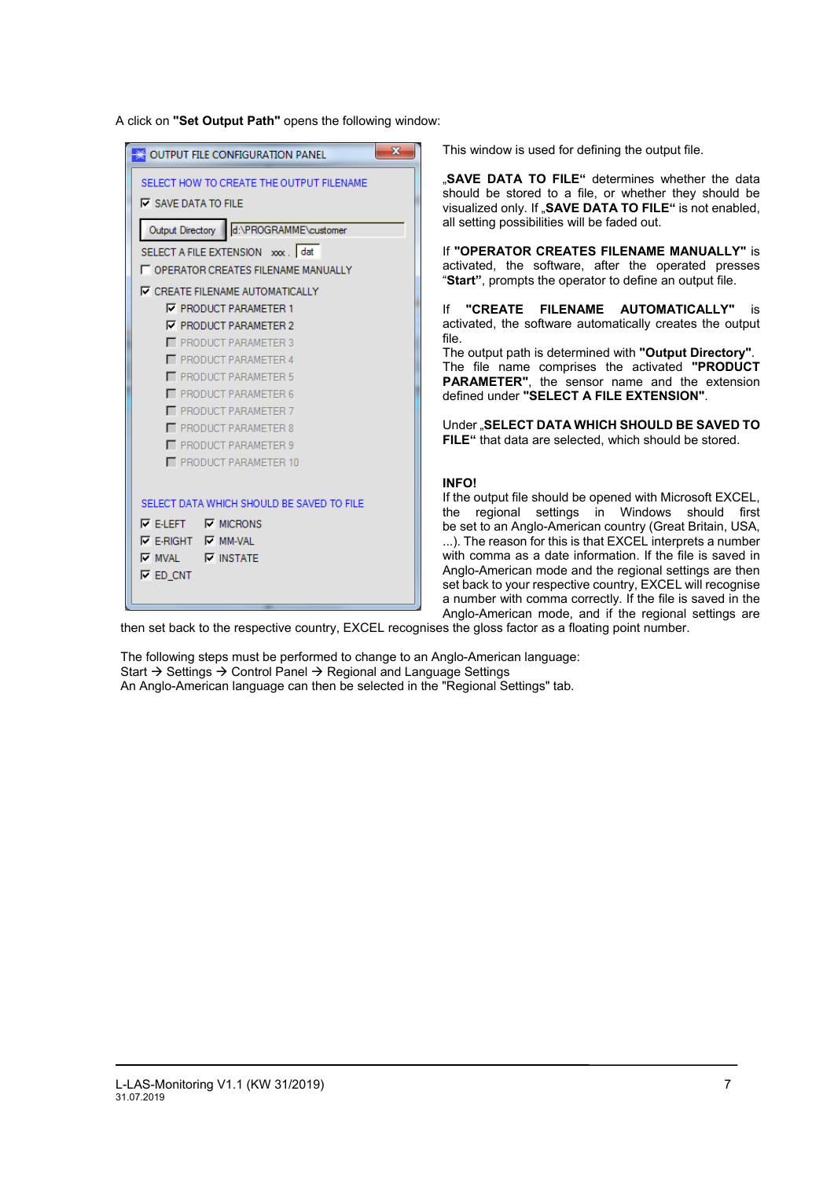A click on **"Set Output Path"** opens the following window:

| OUTPUT FILE CONFIGURATION PANEL                                        | $\overline{\mathbf{x}}$ |
|------------------------------------------------------------------------|-------------------------|
| SELECT HOW TO CREATE THE OUTPUT FILENAME<br><b>V</b> SAVE DATA TO FILE |                         |
| Output Directory d:\PROGRAMME\customer                                 |                         |
| SELECT A FILE EXTENSION xxx. dat                                       |                         |
| <b>LE OPERATOR CREATES FILENAME MANUALLY</b>                           |                         |
| <b>V CREATE FILENAME AUTOMATICALLY</b>                                 |                         |
| <b>V PRODUCT PARAMETER 1</b>                                           |                         |
| <b>V PRODUCT PARAMETER 2</b>                                           |                         |
| PRODUCT PARAMETER 3                                                    |                         |
| <b>PRODUCT PARAMETER 4</b>                                             |                         |
| PRODUCT PARAMETER 5<br>PRODUCT PARAMETER 6                             |                         |
| PRODUCT PARAMETER 7                                                    |                         |
| PRODUCT PARAMETER 8                                                    |                         |
| PRODUCT PARAMETER 9                                                    |                         |
| PRODUCT PARAMETER 10                                                   |                         |
|                                                                        |                         |
| SELECT DATA WHICH SHOULD BE SAVED TO FILE                              |                         |
| $\nabla$ E-LEFT $\nabla$ MICRONS                                       |                         |
| $\nabla$ E-RIGHT $\nabla$ MM-VAL                                       |                         |
| $\nabla$ MVAL $\nabla$ INSTATE                                         |                         |
| $\nabla$ ED CNT                                                        |                         |
|                                                                        |                         |

This window is used for defining the output file.

"SAVE DATA TO FILE" determines whether the data should be stored to a file, or whether they should be visualized only. If "SAVE DATA TO FILE" is not enabled, all setting possibilities will be faded out.

If **"OPERATOR CREATES FILENAME MANUALLY"** is activated, the software, after the operated presses "**Start"**, prompts the operator to define an output file.

If **"CREATE FILENAME AUTOMATICALLY"** is activated, the software automatically creates the output file.

The output path is determined with **"Output Directory"**. The file name comprises the activated **"PRODUCT PARAMETER"**, the sensor name and the extension defined under **"SELECT A FILE EXTENSION"**.

Under "**SELECT DATA WHICH SHOULD BE SAVED TO FILE"** that data are selected, which should be stored.

#### **INFO!**

If the output file should be opened with Microsoft EXCEL, the regional settings in Windows should first be set to an Anglo-American country (Great Britain, USA, ...). The reason for this is that EXCEL interprets a number with comma as a date information. If the file is saved in Anglo-American mode and the regional settings are then set back to your respective country, EXCEL will recognise a number with comma correctly. If the file is saved in the Anglo-American mode, and if the regional settings are

then set back to the respective country, EXCEL recognises the gloss factor as a floating point number.

The following steps must be performed to change to an Anglo-American language: Start  $\rightarrow$  Settings  $\rightarrow$  Control Panel  $\rightarrow$  Regional and Language Settings An Anglo-American language can then be selected in the "Regional Settings" tab.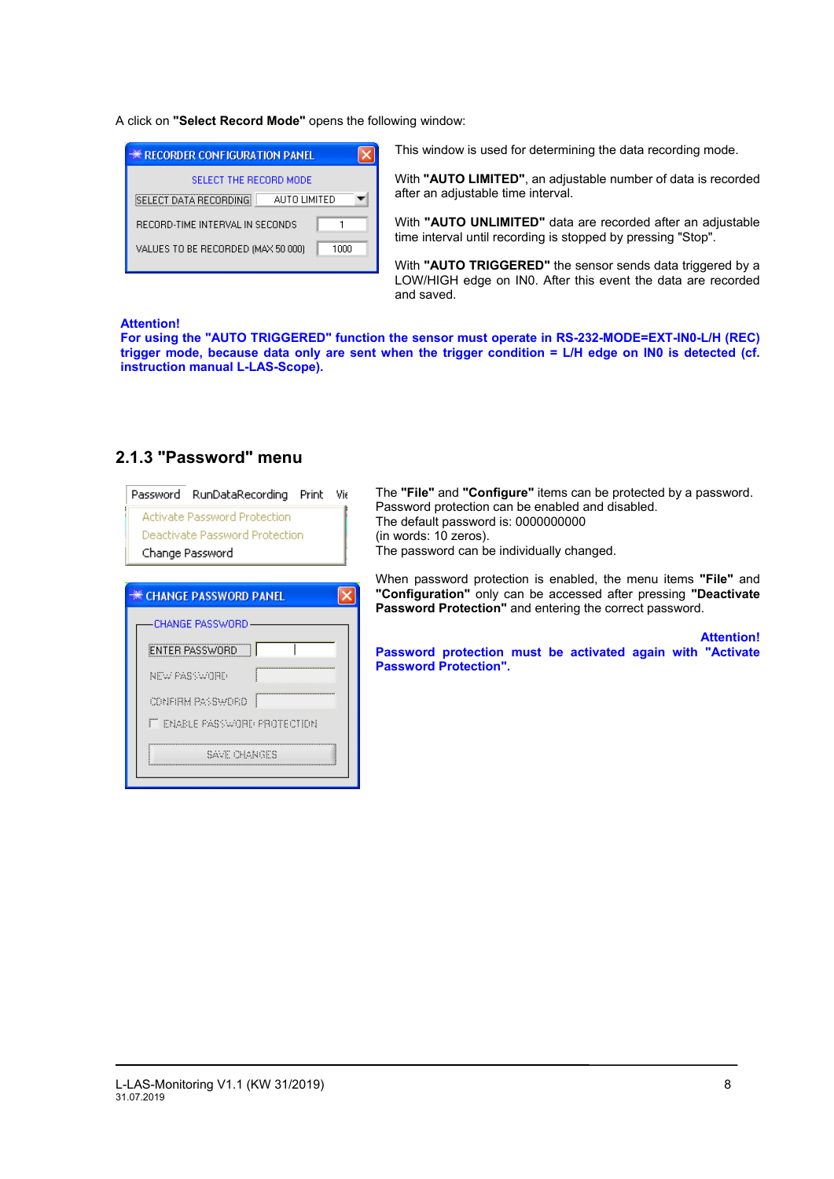A click on **"Select Record Mode"** opens the following window:

| <b>** RECORDER CONFIGURATION PANEL</b>       |  |
|----------------------------------------------|--|
| SELECT THE RECORD MODE                       |  |
| <b>SELECT DATA RECORDING</b><br>AUTO LIMITED |  |
| RECORD-TIME INTERVAL IN SECONDS              |  |
| VALUES TO BE RECORDED (MAX 50 000)<br>1000   |  |
|                                              |  |

This window is used for determining the data recording mode.

With **"AUTO LIMITED"**, an adjustable number of data is recorded after an adjustable time interval.

With **"AUTO UNLIMITED"** data are recorded after an adjustable time interval until recording is stopped by pressing "Stop".

With **"AUTO TRIGGERED"** the sensor sends data triggered by a LOW/HIGH edge on IN0. After this event the data are recorded and saved.

#### **Attention!**

**For using the "AUTO TRIGGERED" function the sensor must operate in RS-232-MODE=EXT-IN0-L/H (REC) trigger mode, because data only are sent when the trigger condition = L/H edge on IN0 is detected (cf. instruction manual L-LAS-Scope).**

| Password RunDataRecording<br>Print<br>Vit<br><b>Activate Password Protection</b><br>Deactivate Password Protection<br>Change Password | The "File" and "Configure" items can be protected by a password.<br>Password protection can be enabled and disabled.<br>The default password is: 0000000000<br>(in words: 10 zeros).<br>The password can be individually changed. |
|---------------------------------------------------------------------------------------------------------------------------------------|-----------------------------------------------------------------------------------------------------------------------------------------------------------------------------------------------------------------------------------|
| <b>** CHANGE PASSWORD PANEL</b>                                                                                                       | When password protection is enabled, the menu items "File" and<br>"Configuration" only can be accessed after pressing "Deactivate"<br><b>Password Protection"</b> and entering the correct password.                              |
| CHANGE PASSWORD<br><b>ENTER PASSWORD</b><br>NEW PASSWORD                                                                              | <b>Attention!</b><br>Password protection must be activated again with "Activate<br><b>Password Protection".</b>                                                                                                                   |
| CONFIRM PASSWORD.<br><b>FT ENABLE PASSWORD PROTECTION</b><br>Sauf i Honiges                                                           |                                                                                                                                                                                                                                   |

### **2.1.3 "Password" menu**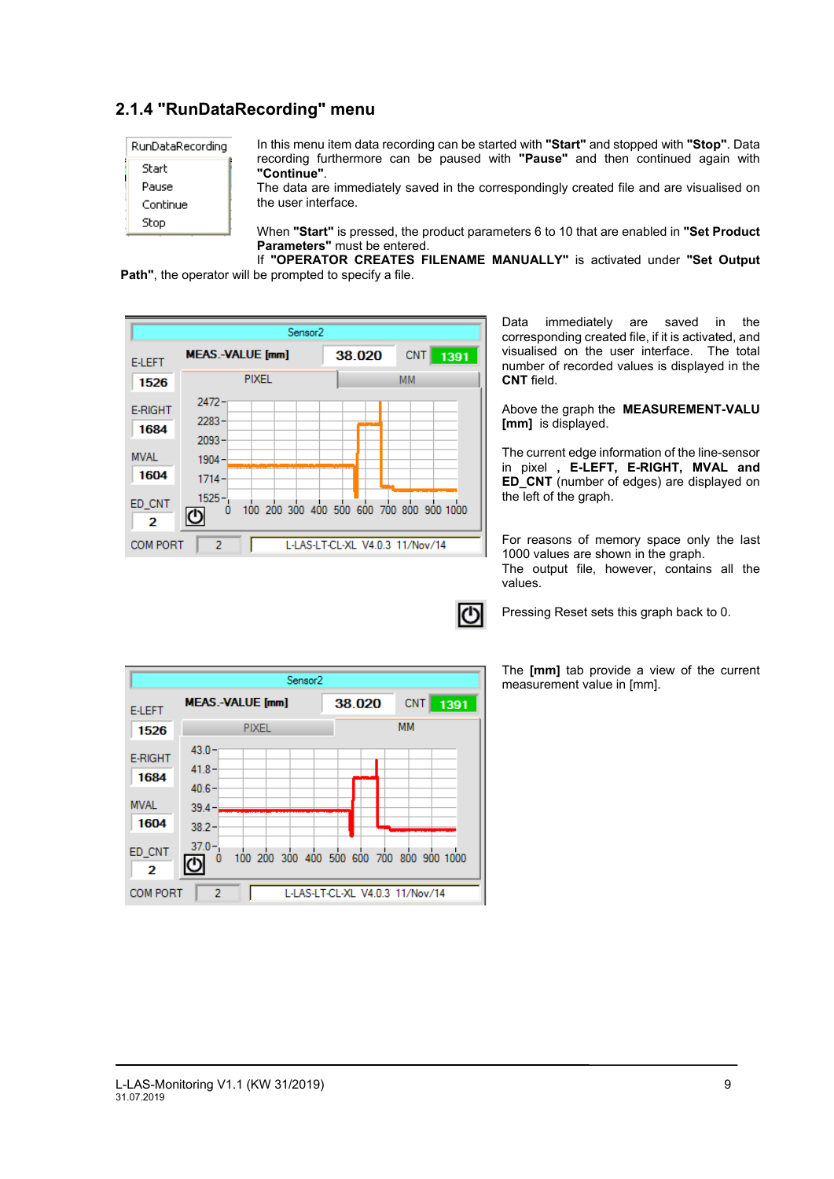## **2.1.4 "RunDataRecording" menu**

| RunDataRecording |
|------------------|
| Start            |
| Pause            |
| Continue         |
| Stop             |

In this menu item data recording can be started with **"Start"** and stopped with **"Stop"**. Data recording furthermore can be paused with **"Pause"** and then continued again with **"Continue"**.

The data are immediately saved in the correspondingly created file and are visualised on the user interface.

When **"Start"** is pressed, the product parameters 6 to 10 that are enabled in **"Set Product Parameters"** must be entered.

If **"OPERATOR CREATES FILENAME MANUALLY"** is activated under **"Set Output Path"**, the operator will be prompted to specify a file.



Data immediately are saved in the corresponding created file, if it is activated, and visualised on the user interface. The total number of recorded values is displayed in the **CNT** field.

Above the graph the **MEASUREMENT-VALU [mm]** is displayed.

The current edge information of the line-sensor in pixel **, E-LEFT, E-RIGHT, MVAL and ED\_CNT** (number of edges) are displayed on the left of the graph.

For reasons of memory space only the last 1000 values are shown in the graph. The output file, however, contains all the values.

Pressing Reset sets this graph back to 0.

The **[mm]** tab provide a view of the current measurement value in [mm].

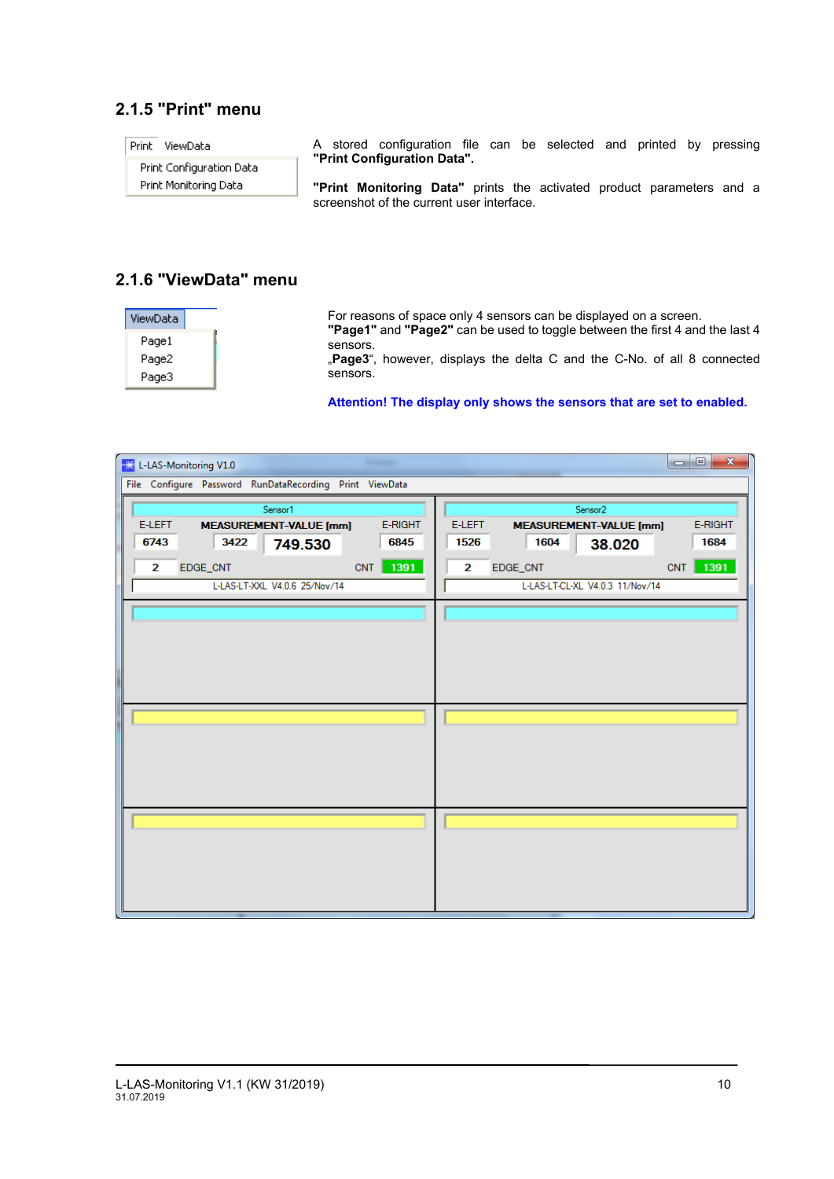## **2.1.5 "Print" menu**

A stored configuration file can be selected and printed by pressing Print ViewData **"Print Configuration Data".** Print Configuration Data Print Monitoring Data **"Print Monitoring Data"** prints the activated product parameters and a screenshot of the current user interface.

## **2.1.6 "ViewData" menu**

| ViewData |  |
|----------|--|
| Page1    |  |
| Page2    |  |
| Page3    |  |

For reasons of space only 4 sensors can be displayed on a screen.

**"Page1"** and **"Page2"** can be used to toggle between the first 4 and the last 4 sensors.

"Page3", however, displays the delta C and the C-No. of all 8 connected sensors.

#### **Attention! The display only shows the sensors that are set to enabled.**

| L-LAS-Monitoring V1.0<br>業                              | $\mathbf{x}$<br>$\Box$ e                           |  |  |  |  |
|---------------------------------------------------------|----------------------------------------------------|--|--|--|--|
| File Configure Password RunDataRecording Print ViewData |                                                    |  |  |  |  |
| Sensor1                                                 | Sensor <sub>2</sub>                                |  |  |  |  |
| E-LEFT<br>E-RIGHT<br><b>MEASUREMENT-VALUE [mm]</b>      | E-LEFT<br>E-RIGHT<br><b>MEASUREMENT-VALUE [mm]</b> |  |  |  |  |
| 6743<br>3422<br>6845<br>749.530                         | 1526<br>1604<br>1684<br>38.020                     |  |  |  |  |
| CNT 1391<br>$\mathbf{2}$<br>EDGE_CNT                    | 1391<br>CNT<br>2<br>EDGE_CNT                       |  |  |  |  |
| L-LAS-LT-XXL V4.0.6 25/Nov/14                           | L-LAS-LT-CL-XL V4.0.3 11/Nov/14                    |  |  |  |  |
|                                                         |                                                    |  |  |  |  |
|                                                         |                                                    |  |  |  |  |
|                                                         |                                                    |  |  |  |  |
|                                                         |                                                    |  |  |  |  |
|                                                         |                                                    |  |  |  |  |
|                                                         |                                                    |  |  |  |  |
|                                                         |                                                    |  |  |  |  |
|                                                         |                                                    |  |  |  |  |
|                                                         |                                                    |  |  |  |  |
|                                                         |                                                    |  |  |  |  |
|                                                         |                                                    |  |  |  |  |
|                                                         |                                                    |  |  |  |  |
|                                                         |                                                    |  |  |  |  |
|                                                         |                                                    |  |  |  |  |
|                                                         |                                                    |  |  |  |  |